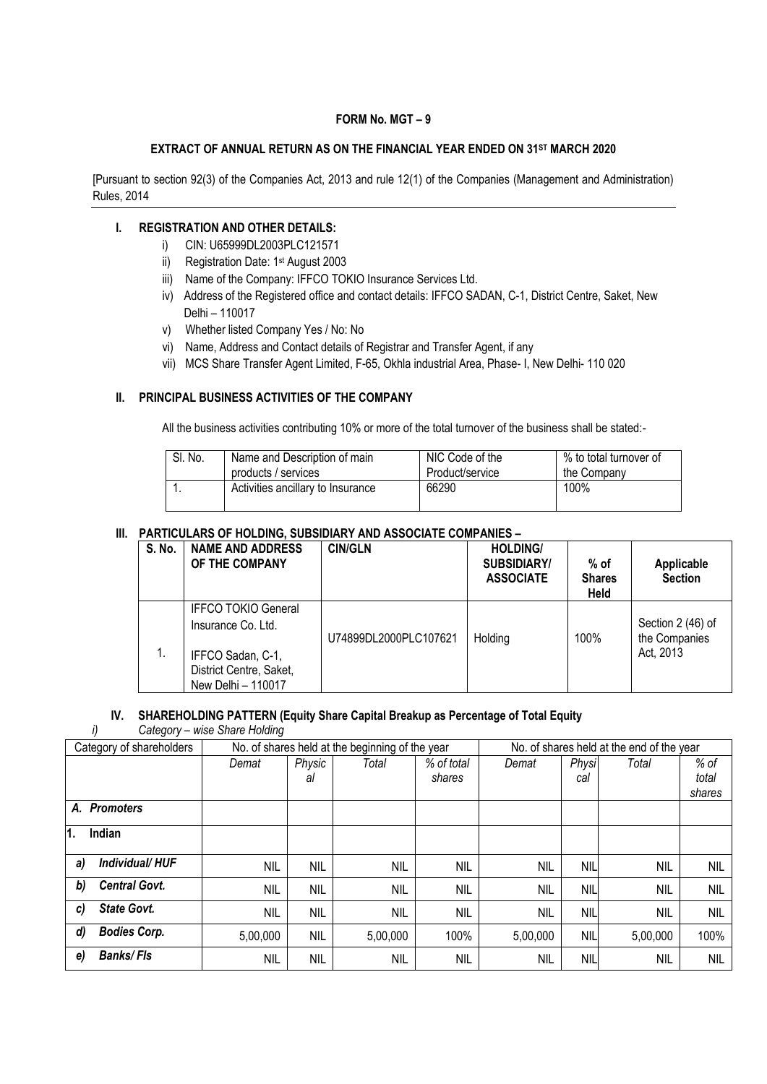## **FORM No. MGT – 9**

## **EXTRACT OF ANNUAL RETURN AS ON THE FINANCIAL YEAR ENDED ON 31ST MARCH 2020**

[Pursuant to section 92(3) of the Companies Act, 2013 and rule 12(1) of the Companies (Management and Administration) Rules, 2014

#### **I. REGISTRATION AND OTHER DETAILS:**

- i) CIN: U65999DL2003PLC121571
- ii) Registration Date: 1<sup>st</sup> August 2003
- iii) Name of the Company: IFFCO TOKIO Insurance Services Ltd.
- iv) Address of the Registered office and contact details: IFFCO SADAN, C-1, District Centre, Saket, New Delhi – 110017
- v) Whether listed Company Yes / No: No
- vi) Name, Address and Contact details of Registrar and Transfer Agent, if any
- vii) MCS Share Transfer Agent Limited, F-65, Okhla industrial Area, Phase- I, New Delhi- 110 020

## **II. PRINCIPAL BUSINESS ACTIVITIES OF THE COMPANY**

All the business activities contributing 10% or more of the total turnover of the business shall be stated:-

| SI. No. | Name and Description of main      | NIC Code of the | % to total turnover of |
|---------|-----------------------------------|-----------------|------------------------|
|         | products / services               | Product/service | the Company            |
|         | Activities ancillary to Insurance | 66290           | 100%                   |

#### **III. PARTICULARS OF HOLDING, SUBSIDIARY AND ASSOCIATE COMPANIES –**

| S. No. | <b>NAME AND ADDRESS</b><br>OF THE COMPANY                                                                              | <b>CIN/GLN</b>        | <b>HOLDING/</b><br><b>SUBSIDIARY/</b><br><b>ASSOCIATE</b> | % of<br><b>Shares</b><br>Held | Applicable<br><b>Section</b>                    |
|--------|------------------------------------------------------------------------------------------------------------------------|-----------------------|-----------------------------------------------------------|-------------------------------|-------------------------------------------------|
| 1.     | <b>IFFCO TOKIO General</b><br>Insurance Co. Ltd.<br>IFFCO Sadan, C-1,<br>District Centre, Saket,<br>New Delhi - 110017 | U74899DL2000PLC107621 | Holding                                                   | 100%                          | Section 2 (46) of<br>the Companies<br>Act, 2013 |

# **IV. SHAREHOLDING PATTERN (Equity Share Capital Breakup as Percentage of Total Equity**

*i) Category – wise Share Holding*

| Category of shareholders   | No. of shares held at the beginning of the year |            |            |            | No. of shares held at the end of the year |            |            |            |
|----------------------------|-------------------------------------------------|------------|------------|------------|-------------------------------------------|------------|------------|------------|
|                            | Demat                                           | Physic     | Total      | % of total | Demat                                     | Physi      | Total      | % of       |
|                            |                                                 | al         |            | shares     |                                           | cal        |            | total      |
|                            |                                                 |            |            |            |                                           |            |            | shares     |
| A. Promoters               |                                                 |            |            |            |                                           |            |            |            |
| Indian<br>11.              |                                                 |            |            |            |                                           |            |            |            |
| Individual/HUF<br>a)       | NIL                                             | NIL        | <b>NIL</b> | <b>NIL</b> | <b>NIL</b>                                | <b>NIL</b> | <b>NIL</b> | <b>NIL</b> |
| <b>Central Govt.</b><br>b) | <b>NIL</b>                                      | <b>NIL</b> | <b>NIL</b> | <b>NIL</b> | <b>NIL</b>                                | <b>NIL</b> | <b>NIL</b> | <b>NIL</b> |
| <b>State Govt.</b><br>C)   | <b>NIL</b>                                      | <b>NIL</b> | <b>NIL</b> | <b>NIL</b> | <b>NIL</b>                                | <b>NIL</b> | <b>NIL</b> | <b>NIL</b> |
| <b>Bodies Corp.</b><br>d)  | 5,00,000                                        | <b>NIL</b> | 5,00,000   | 100%       | 5,00,000                                  | <b>NIL</b> | 5,00,000   | 100%       |
| <b>Banks/Fls</b><br>e)     | <b>NIL</b>                                      | <b>NIL</b> | <b>NIL</b> | <b>NIL</b> | <b>NIL</b>                                | <b>NIL</b> | <b>NIL</b> | <b>NIL</b> |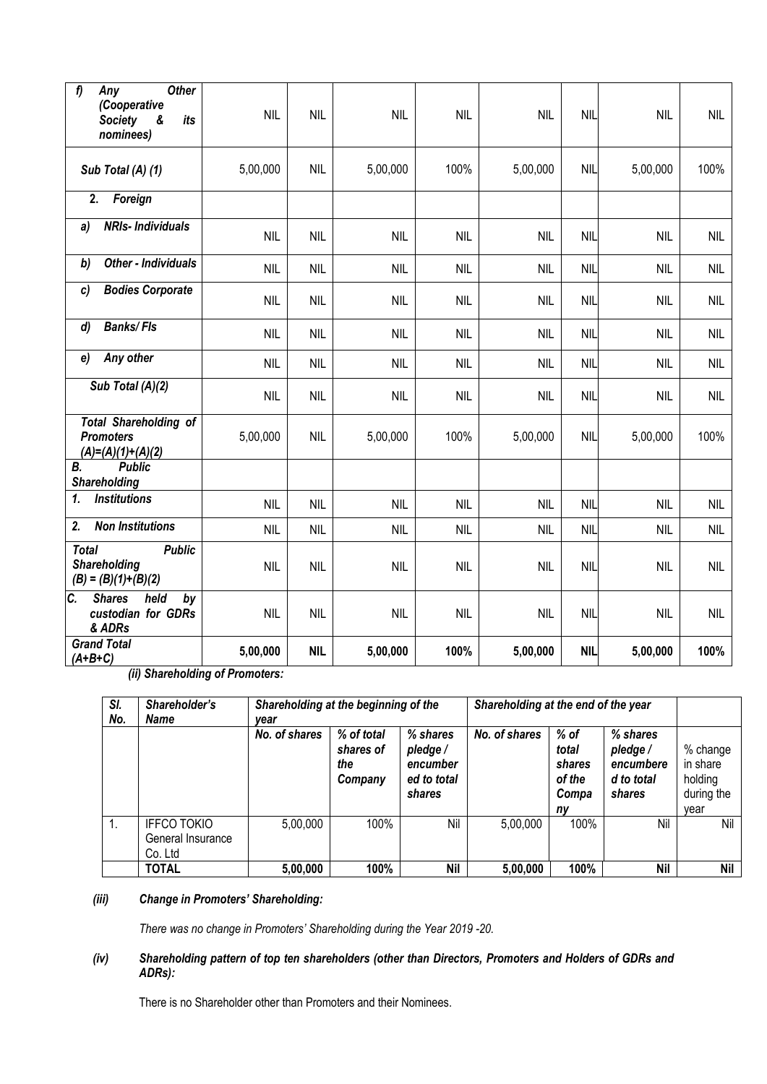| f<br><b>Other</b><br>Any<br>(Cooperative<br><b>Society</b><br>&<br>its<br>nominees) | <b>NIL</b> | <b>NIL</b> | <b>NIL</b> | <b>NIL</b> | <b>NIL</b> | <b>NIL</b> | <b>NIL</b> | <b>NIL</b> |
|-------------------------------------------------------------------------------------|------------|------------|------------|------------|------------|------------|------------|------------|
| Sub Total (A) (1)                                                                   | 5,00,000   | <b>NIL</b> | 5,00,000   | 100%       | 5,00,000   | <b>NIL</b> | 5,00,000   | 100%       |
| 2.<br>Foreign                                                                       |            |            |            |            |            |            |            |            |
| <b>NRIs-Individuals</b><br>a)                                                       | <b>NIL</b> | <b>NIL</b> | <b>NIL</b> | <b>NIL</b> | <b>NIL</b> | <b>NIL</b> | <b>NIL</b> | <b>NIL</b> |
| <b>Other - Individuals</b><br>b)                                                    | <b>NIL</b> | <b>NIL</b> | <b>NIL</b> | <b>NIL</b> | <b>NIL</b> | <b>NIL</b> | <b>NIL</b> | <b>NIL</b> |
| <b>Bodies Corporate</b><br>c)                                                       | <b>NIL</b> | <b>NIL</b> | <b>NIL</b> | <b>NIL</b> | <b>NIL</b> | <b>NIL</b> | <b>NIL</b> | <b>NIL</b> |
| <b>Banks/Fls</b><br>d)                                                              | <b>NIL</b> | <b>NIL</b> | <b>NIL</b> | <b>NIL</b> | <b>NIL</b> | <b>NIL</b> | <b>NIL</b> | <b>NIL</b> |
| Any other<br>e)                                                                     | <b>NIL</b> | <b>NIL</b> | <b>NIL</b> | <b>NIL</b> | <b>NIL</b> | <b>NIL</b> | <b>NIL</b> | <b>NIL</b> |
| Sub Total (A)(2)                                                                    | <b>NIL</b> | <b>NIL</b> | <b>NIL</b> | <b>NIL</b> | <b>NIL</b> | <b>NIL</b> | <b>NIL</b> | <b>NIL</b> |
| <b>Total Shareholding of</b><br><b>Promoters</b><br>$(A)=(A)(1)+(A)(2)$             | 5,00,000   | <b>NIL</b> | 5,00,000   | 100%       | 5,00,000   | <b>NIL</b> | 5,00,000   | 100%       |
| <b>Public</b><br>В.<br><b>Shareholding</b>                                          |            |            |            |            |            |            |            |            |
| <b>Institutions</b><br>1.                                                           | <b>NIL</b> | <b>NIL</b> | <b>NIL</b> | <b>NIL</b> | <b>NIL</b> | <b>NIL</b> | <b>NIL</b> | <b>NIL</b> |
| 2.<br><b>Non Institutions</b>                                                       | <b>NIL</b> | <b>NIL</b> | <b>NIL</b> | <b>NIL</b> | <b>NIL</b> | <b>NIL</b> | <b>NIL</b> | <b>NIL</b> |
| <b>Public</b><br><b>Total</b><br>Shareholding<br>$(B) = (B)(1)+(B)(2)$              | <b>NIL</b> | <b>NIL</b> | <b>NIL</b> | <b>NIL</b> | <b>NIL</b> | <b>NIL</b> | <b>NIL</b> | <b>NIL</b> |
| $\overline{c}$ .<br><b>Shares</b><br>held<br>by<br>custodian for GDRs<br>& ADRs     | <b>NIL</b> | <b>NIL</b> | <b>NIL</b> | <b>NIL</b> | <b>NIL</b> | <b>NIL</b> | <b>NIL</b> | <b>NIL</b> |
| <b>Grand Total</b><br>$(A+B+C)$                                                     | 5,00,000   | <b>NIL</b> | 5,00,000   | 100%       | 5,00,000   | <b>NIL</b> | 5,00,000   | 100%       |

 *(ii) Shareholding of Promoters:*

| SI.<br>No. | Shareholder's<br>Name                              | Shareholding at the beginning of the<br>vear |                                           |                                                           | Shareholding at the end of the year |                                                    |                                                          |                                                       |
|------------|----------------------------------------------------|----------------------------------------------|-------------------------------------------|-----------------------------------------------------------|-------------------------------------|----------------------------------------------------|----------------------------------------------------------|-------------------------------------------------------|
|            |                                                    | No. of shares                                | % of total<br>shares of<br>the<br>Company | % shares<br>pledge /<br>encumber<br>ed to total<br>shares | No. of shares                       | $%$ of<br>total<br>shares<br>of the<br>Compa<br>ny | % shares<br>pledge/<br>encumbere<br>d to total<br>shares | % change<br>in share<br>holding<br>during the<br>vear |
|            | <b>IFFCO TOKIO</b><br>General Insurance<br>Co. Ltd | 5,00,000                                     | 100%                                      | Nil                                                       | 5,00,000                            | 100%                                               | Nil                                                      | Nil                                                   |
|            | <b>TOTAL</b>                                       | 5,00,000                                     | 100%                                      | Nil                                                       | 5.00.000                            | 100%                                               | Nil                                                      | Nil                                                   |

# *(iii) Change in Promoters' Shareholding:*

*There was no change in Promoters' Shareholding during the Year 2019 -20.*

# *(iv) Shareholding pattern of top ten shareholders (other than Directors, Promoters and Holders of GDRs and ADRs):*

There is no Shareholder other than Promoters and their Nominees.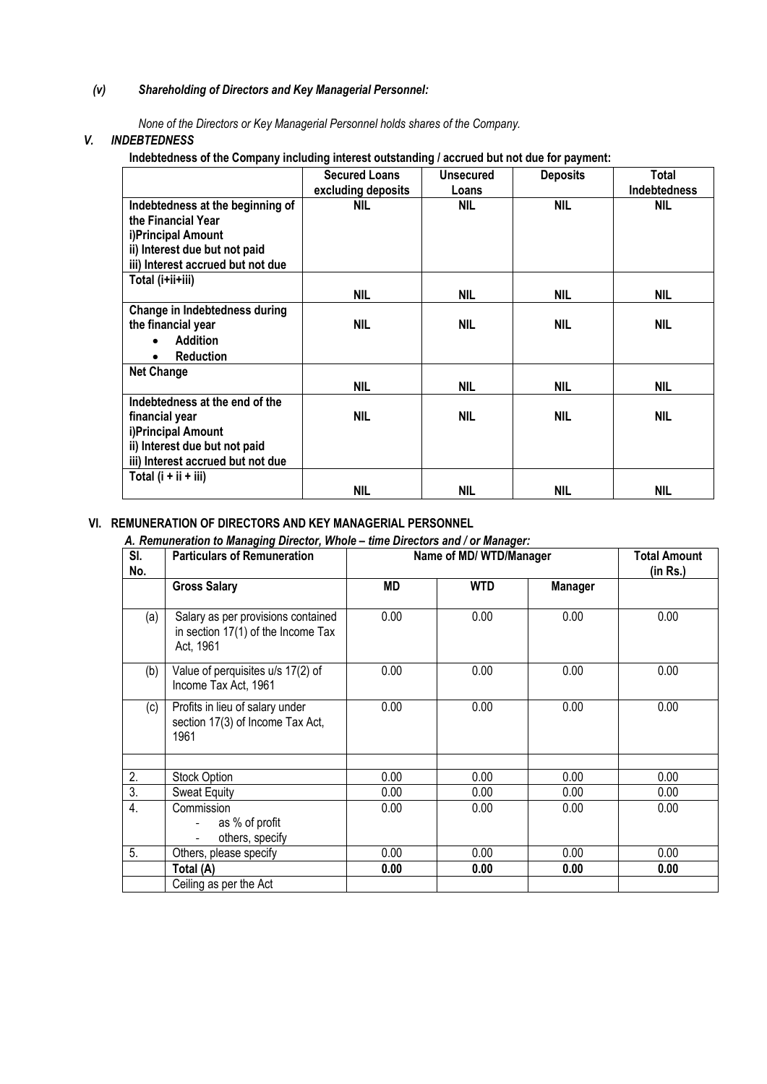# *(v) Shareholding of Directors and Key Managerial Personnel:*

*None of the Directors or Key Managerial Personnel holds shares of the Company.*

## *V. INDEBTEDNESS*

**Indebtedness of the Company including interest outstanding / accrued but not due for payment:**

|                                                        | <b>Secured Loans</b><br>excluding deposits | <b>Unsecured</b><br>Loans | <b>Deposits</b> | Total<br><b>Indebtedness</b> |
|--------------------------------------------------------|--------------------------------------------|---------------------------|-----------------|------------------------------|
| Indebtedness at the beginning of<br>the Financial Year | <b>NIL</b>                                 | NIL                       | <b>NIL</b>      | <b>NIL</b>                   |
| i)Principal Amount                                     |                                            |                           |                 |                              |
| ii) Interest due but not paid                          |                                            |                           |                 |                              |
| iii) Interest accrued but not due                      |                                            |                           |                 |                              |
| Total (i+ii+iii)                                       |                                            |                           |                 |                              |
|                                                        | NIL                                        | <b>NIL</b>                | NIL             | NIL                          |
| Change in Indebtedness during                          |                                            |                           |                 |                              |
| the financial year                                     | NIL                                        | NIL                       | NIL             | <b>NIL</b>                   |
| <b>Addition</b><br>$\bullet$                           |                                            |                           |                 |                              |
| <b>Reduction</b><br>٠                                  |                                            |                           |                 |                              |
| <b>Net Change</b>                                      |                                            |                           |                 |                              |
|                                                        | NIL                                        | NIL                       | NIL             | <b>NIL</b>                   |
| Indebtedness at the end of the                         |                                            |                           |                 |                              |
| financial year                                         | <b>NIL</b>                                 | <b>NIL</b>                | NIL             | <b>NIL</b>                   |
| i)Principal Amount                                     |                                            |                           |                 |                              |
| ii) Interest due but not paid                          |                                            |                           |                 |                              |
| iii) Interest accrued but not due                      |                                            |                           |                 |                              |
| Total $(i + ii + iii)$                                 |                                            |                           |                 |                              |
|                                                        | NIL                                        | <b>NIL</b>                | <b>NIL</b>      | NIL                          |

# **VI. REMUNERATION OF DIRECTORS AND KEY MANAGERIAL PERSONNEL**

#### *A. Remuneration to Managing Director, Whole – time Directors and / or Manager:*

| SI.<br>No.       | <b>Particulars of Remuneration</b>                                                    | Name of MD/ WTD/Manager | <b>Total Amount</b><br>(in Rs.) |                |      |
|------------------|---------------------------------------------------------------------------------------|-------------------------|---------------------------------|----------------|------|
|                  | <b>Gross Salary</b>                                                                   | MD                      | <b>WTD</b>                      | <b>Manager</b> |      |
| (a)              | Salary as per provisions contained<br>in section 17(1) of the Income Tax<br>Act, 1961 | 0.00                    | 0.00                            | 0.00           | 0.00 |
| (b)              | Value of perquisites u/s 17(2) of<br>Income Tax Act, 1961                             | 0.00                    | 0.00                            | 0.00           | 0.00 |
| (c)              | Profits in lieu of salary under<br>section 17(3) of Income Tax Act,<br>1961           | 0.00                    | 0.00                            | 0.00           | 0.00 |
|                  |                                                                                       |                         |                                 |                |      |
| 2.               | Stock Option                                                                          | 0.00                    | 0.00                            | 0.00           | 0.00 |
| $\overline{3}$ . | <b>Sweat Equity</b>                                                                   | 0.00                    | 0.00                            | 0.00           | 0.00 |
| 4.               | Commission<br>as % of profit<br>$\overline{\phantom{a}}$<br>others, specify           | 0.00                    | 0.00                            | 0.00           | 0.00 |
| 5.               | Others, please specify                                                                | 0.00                    | 0.00                            | 0.00           | 0.00 |
|                  | Total (A)                                                                             | 0.00                    | 0.00                            | 0.00           | 0.00 |
|                  | Ceiling as per the Act                                                                |                         |                                 |                |      |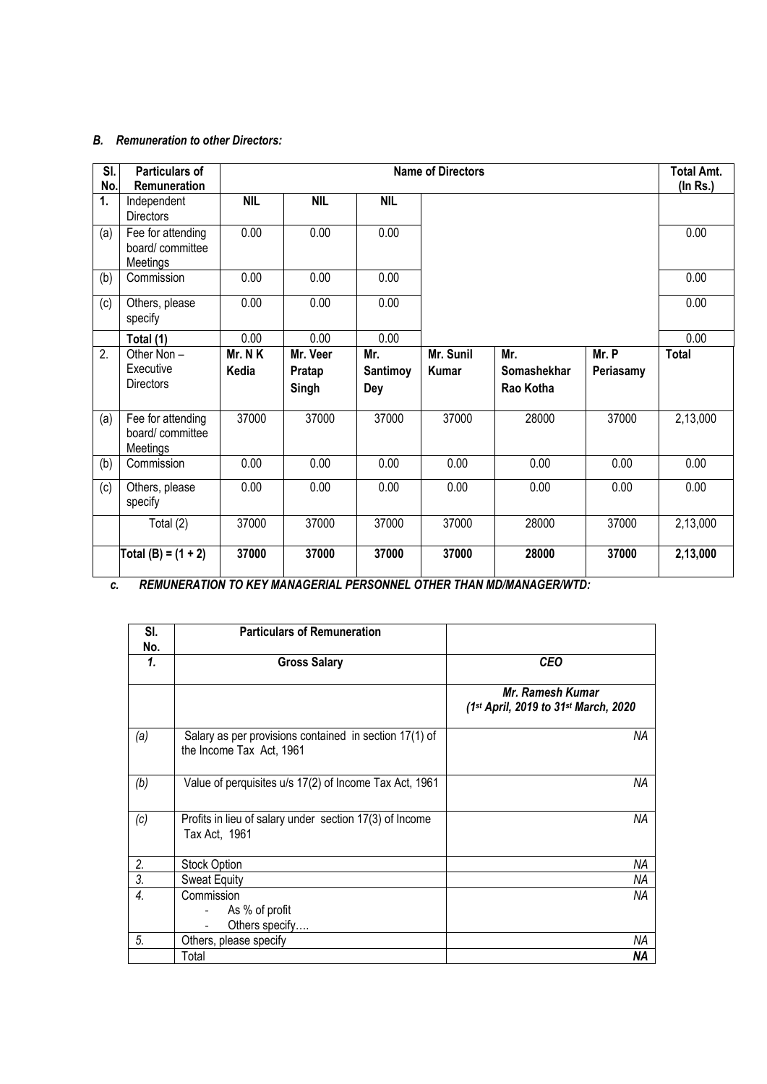## *B. Remuneration to other Directors:*

| SI.<br>No. | Particulars of<br>Remuneration                   |                 |                             |                                      | <b>Name of Directors</b> |                                 |                    | <b>Total Amt.</b><br>$($ In Rs. $)$ |
|------------|--------------------------------------------------|-----------------|-----------------------------|--------------------------------------|--------------------------|---------------------------------|--------------------|-------------------------------------|
| 1.         | Independent<br><b>Directors</b>                  | <b>NIL</b>      | <b>NIL</b>                  | <b>NIL</b>                           |                          |                                 |                    |                                     |
| (a)        | Fee for attending<br>board/committee<br>Meetings | 0.00            | 0.00                        | 0.00                                 |                          |                                 |                    | 0.00                                |
| (b)        | Commission                                       | 0.00            | 0.00                        | 0.00                                 |                          |                                 |                    | 0.00                                |
| (c)        | Others, please<br>specify                        | 0.00            | 0.00                        | 0.00                                 |                          |                                 |                    | 0.00                                |
|            | Total (1)                                        | 0.00            | 0.00                        | 0.00                                 |                          |                                 |                    | 0.00                                |
| 2.         | Other Non-<br>Executive<br><b>Directors</b>      | Mr. NK<br>Kedia | Mr. Veer<br>Pratap<br>Singh | Mr.<br><b>Santimoy</b><br><b>Dey</b> | Mr. Sunil<br>Kumar       | Mr.<br>Somashekhar<br>Rao Kotha | Mr. P<br>Periasamy | <b>Total</b>                        |
| (a)        | Fee for attending<br>board/committee<br>Meetings | 37000           | 37000                       | 37000                                | 37000                    | 28000                           | 37000              | 2,13,000                            |
| (b)        | Commission                                       | 0.00            | 0.00                        | 0.00                                 | 0.00                     | 0.00                            | 0.00               | 0.00                                |
| (c)        | Others, please<br>specify                        | 0.00            | 0.00                        | 0.00                                 | 0.00                     | 0.00                            | 0.00               | 0.00                                |
|            | Total (2)                                        | 37000           | 37000                       | 37000                                | 37000                    | 28000                           | 37000              | 2,13,000                            |
|            | Total (B) = $(1 + 2)$                            | 37000           | 37000                       | 37000                                | 37000                    | 28000                           | 37000              | 2,13,000                            |

*c. REMUNERATION TO KEY MANAGERIAL PERSONNEL OTHER THAN MD/MANAGER/WTD:*

| SI.<br>No.       | <b>Particulars of Remuneration</b>                                                 |                                                           |
|------------------|------------------------------------------------------------------------------------|-----------------------------------------------------------|
| 1.               | <b>Gross Salary</b>                                                                | <b>CEO</b>                                                |
|                  |                                                                                    | Mr. Ramesh Kumar<br>(1st April, 2019 to 31st March, 2020) |
| (a)              | Salary as per provisions contained in section 17(1) of<br>the Income Tax Act, 1961 | ΝA                                                        |
| (b)              | Value of perquisites u/s 17(2) of Income Tax Act, 1961                             | ΝA                                                        |
| (c)              | Profits in lieu of salary under section 17(3) of Income<br>Tax Act, 1961           | ΝA                                                        |
| 2.               | Stock Option                                                                       | ΝA                                                        |
| $\overline{3}$ . | <b>Sweat Equity</b>                                                                | ΝA                                                        |
| $\overline{4}$ . | Commission                                                                         | ΝA                                                        |
|                  | As % of profit                                                                     |                                                           |
|                  | Others specify                                                                     |                                                           |
| 5.               | Others, please specify                                                             | ΝA                                                        |
|                  | Total                                                                              | <b>NA</b>                                                 |